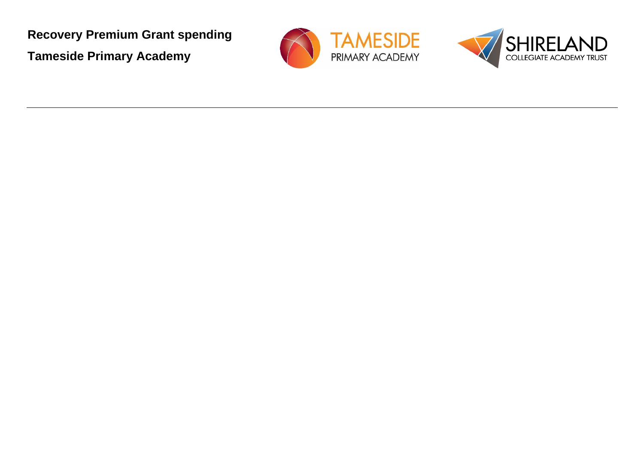**Recovery Premium Grant spending Tameside Primary Academy**



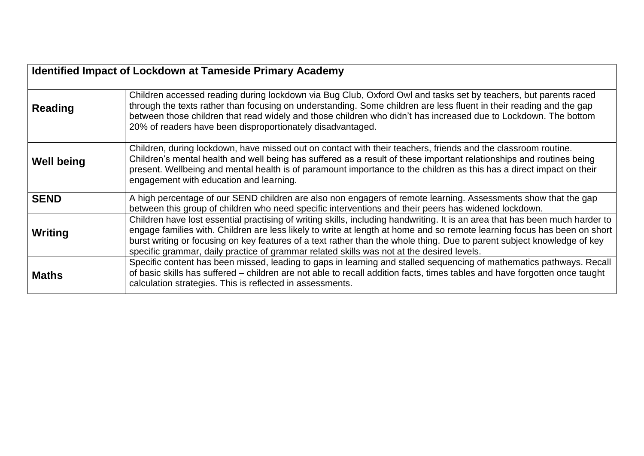| <b>Identified Impact of Lockdown at Tameside Primary Academy</b> |                                                                                                                                                                                                                                                                                                                                                                                                                                                                                  |  |  |
|------------------------------------------------------------------|----------------------------------------------------------------------------------------------------------------------------------------------------------------------------------------------------------------------------------------------------------------------------------------------------------------------------------------------------------------------------------------------------------------------------------------------------------------------------------|--|--|
| Reading                                                          | Children accessed reading during lockdown via Bug Club, Oxford Owl and tasks set by teachers, but parents raced<br>through the texts rather than focusing on understanding. Some children are less fluent in their reading and the gap<br>between those children that read widely and those children who didn't has increased due to Lockdown. The bottom<br>20% of readers have been disproportionately disadvantaged.                                                          |  |  |
| <b>Well being</b>                                                | Children, during lockdown, have missed out on contact with their teachers, friends and the classroom routine.<br>Children's mental health and well being has suffered as a result of these important relationships and routines being<br>present. Wellbeing and mental health is of paramount importance to the children as this has a direct impact on their<br>engagement with education and learning.                                                                         |  |  |
| <b>SEND</b>                                                      | A high percentage of our SEND children are also non engagers of remote learning. Assessments show that the gap<br>between this group of children who need specific interventions and their peers has widened lockdown.                                                                                                                                                                                                                                                           |  |  |
| Writing                                                          | Children have lost essential practising of writing skills, including handwriting. It is an area that has been much harder to<br>engage families with. Children are less likely to write at length at home and so remote learning focus has been on short<br>burst writing or focusing on key features of a text rather than the whole thing. Due to parent subject knowledge of key<br>specific grammar, daily practice of grammar related skills was not at the desired levels. |  |  |
| <b>Maths</b>                                                     | Specific content has been missed, leading to gaps in learning and stalled sequencing of mathematics pathways. Recall<br>of basic skills has suffered – children are not able to recall addition facts, times tables and have forgotten once taught<br>calculation strategies. This is reflected in assessments.                                                                                                                                                                  |  |  |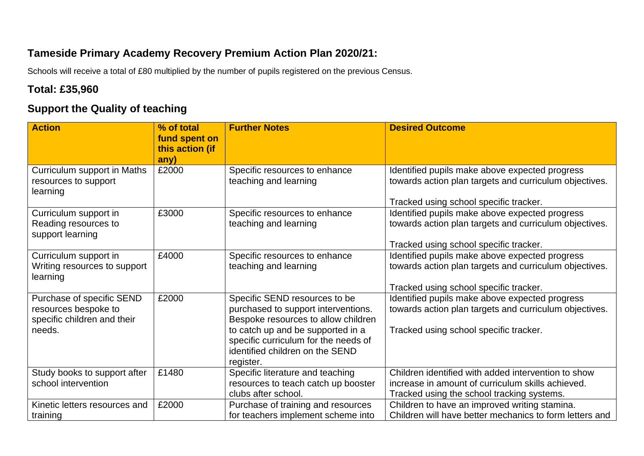## **Tameside Primary Academy Recovery Premium Action Plan 2020/21:**

Schools will receive a total of £80 multiplied by the number of pupils registered on the previous Census.

#### **Total: £35,960**

## **Support the Quality of teaching**

| <b>Action</b>                 | % of total<br>fund spent on<br>this action (if | <b>Further Notes</b>                 | <b>Desired Outcome</b>                                  |
|-------------------------------|------------------------------------------------|--------------------------------------|---------------------------------------------------------|
|                               | any)                                           |                                      |                                                         |
| Curriculum support in Maths   | £2000                                          | Specific resources to enhance        | Identified pupils make above expected progress          |
| resources to support          |                                                | teaching and learning                | towards action plan targets and curriculum objectives.  |
| learning                      |                                                |                                      |                                                         |
|                               |                                                |                                      | Tracked using school specific tracker.                  |
| Curriculum support in         | £3000                                          | Specific resources to enhance        | Identified pupils make above expected progress          |
| Reading resources to          |                                                | teaching and learning                | towards action plan targets and curriculum objectives.  |
| support learning              |                                                |                                      |                                                         |
|                               |                                                |                                      | Tracked using school specific tracker.                  |
| Curriculum support in         | £4000                                          | Specific resources to enhance        | Identified pupils make above expected progress          |
| Writing resources to support  |                                                | teaching and learning                | towards action plan targets and curriculum objectives.  |
| learning                      |                                                |                                      |                                                         |
|                               |                                                |                                      | Tracked using school specific tracker.                  |
| Purchase of specific SEND     | £2000                                          | Specific SEND resources to be        | Identified pupils make above expected progress          |
| resources bespoke to          |                                                | purchased to support interventions.  | towards action plan targets and curriculum objectives.  |
| specific children and their   |                                                | Bespoke resources to allow children  |                                                         |
| needs.                        |                                                | to catch up and be supported in a    | Tracked using school specific tracker.                  |
|                               |                                                | specific curriculum for the needs of |                                                         |
|                               |                                                | identified children on the SEND      |                                                         |
|                               |                                                | register.                            |                                                         |
| Study books to support after  | £1480                                          | Specific literature and teaching     | Children identified with added intervention to show     |
| school intervention           |                                                | resources to teach catch up booster  | increase in amount of curriculum skills achieved.       |
|                               |                                                | clubs after school.                  | Tracked using the school tracking systems.              |
| Kinetic letters resources and | £2000                                          | Purchase of training and resources   | Children to have an improved writing stamina.           |
| training                      |                                                | for teachers implement scheme into   | Children will have better mechanics to form letters and |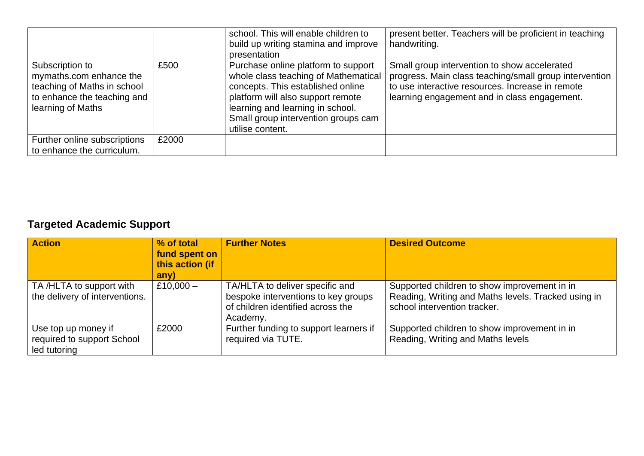|                                                                                                                               |       | school. This will enable children to<br>build up writing stamina and improve<br>presentation                                                                                                                                                         | present better. Teachers will be proficient in teaching<br>handwriting.                                                                                                                                    |
|-------------------------------------------------------------------------------------------------------------------------------|-------|------------------------------------------------------------------------------------------------------------------------------------------------------------------------------------------------------------------------------------------------------|------------------------------------------------------------------------------------------------------------------------------------------------------------------------------------------------------------|
| Subscription to<br>mymaths.com enhance the<br>teaching of Maths in school<br>to enhance the teaching and<br>learning of Maths | £500  | Purchase online platform to support<br>whole class teaching of Mathematical<br>concepts. This established online<br>platform will also support remote<br>learning and learning in school.<br>Small group intervention groups cam<br>utilise content. | Small group intervention to show accelerated<br>progress. Main class teaching/small group intervention<br>to use interactive resources. Increase in remote<br>learning engagement and in class engagement. |
| Further online subscriptions<br>to enhance the curriculum.                                                                    | £2000 |                                                                                                                                                                                                                                                      |                                                                                                                                                                                                            |

# **Targeted Academic Support**

| <b>Action</b>                                                     | % of total<br>fund spent on<br>this action (if<br>any) | <b>Further Notes</b>                                                                                                    | <b>Desired Outcome</b>                                                                                                              |
|-------------------------------------------------------------------|--------------------------------------------------------|-------------------------------------------------------------------------------------------------------------------------|-------------------------------------------------------------------------------------------------------------------------------------|
| TA /HLTA to support with<br>the delivery of interventions.        | £10,000 $-$                                            | TA/HLTA to deliver specific and<br>bespoke interventions to key groups<br>of children identified across the<br>Academy. | Supported children to show improvement in in<br>Reading, Writing and Maths levels. Tracked using in<br>school intervention tracker. |
| Use top up money if<br>required to support School<br>led tutoring | £2000                                                  | Further funding to support learners if<br>required via TUTE.                                                            | Supported children to show improvement in in<br>Reading, Writing and Maths levels                                                   |